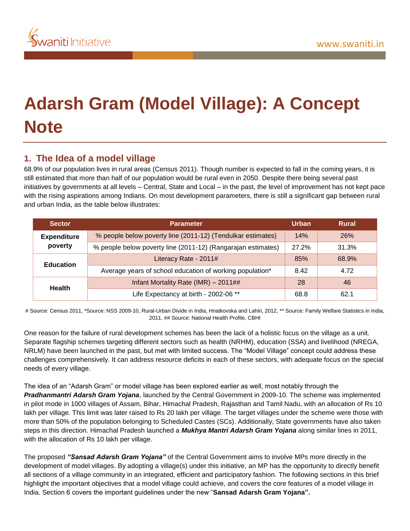

# **Adarsh Gram (Model Village): A Concept Note**

# **1. The Idea of a model village**

68.9% of our population lives in rural areas (Census 2011). Though number is expected to fall in the coming years, it is still estimated that more than half of our population would be rural even in 2050. Despite there being several past initiatives by governments at all levels – Central, State and Local – in the past, the level of improvement has not kept pace with the rising aspirations among Indians. On most development parameters, there is still a significant gap between rural and urban India, as the table below illustrates:

| <b>Sector</b>                 | <b>Parameter</b>                                             | <b>Urban</b> | Rural      |
|-------------------------------|--------------------------------------------------------------|--------------|------------|
| <b>Expenditure</b><br>poverty | % people below poverty line (2011-12) (Tendulkar estimates)  | 14%          | <b>26%</b> |
|                               | % people below poverty line (2011-12) (Rangarajan estimates) | 27.2%        | 31.3%      |
| <b>Education</b>              | Literacy Rate - 2011#                                        | 85%          | 68.9%      |
|                               | Average years of school education of working population*     | 8.42         | 4.72       |
| <b>Health</b>                 | Infant Mortality Rate (IMR) - 2011##                         | 28           | 46         |
|                               | Life Expectancy at birth - 2002-06 **                        | 68.8         | 62.1       |

# Source: Census 2011, \*Source: NSS 2009-10, Rural-Urban Divide in India, Hnatkovska and Lahiri, 2012, \*\* Source: Family Welfare Statistics in India, 2011, ## Source: National Health Profile, CBHI

One reason for the failure of rural development schemes has been the lack of a holistic focus on the village as a unit. Separate flagship schemes targeting different sectors such as health (NRHM), education (SSA) and livelihood (NREGA, NRLM) have been launched in the past, but met with limited success. The "Model Village" concept could address these challenges comprehensively. It can address resource deficits in each of these sectors, with adequate focus on the special needs of every village.

The idea of an "Adarsh Gram" or model village has been explored earlier as well, most notably through the *Pradhanmantri Adarsh Gram Yojana*, launched by the Central Government in 2009-10. The scheme was implemented in pilot mode in 1000 villages of Assam, Bihar, Himachal Pradesh, Rajasthan and Tamil Nadu, with an allocation of Rs 10 lakh per village. This limit was later raised to Rs 20 lakh per village. The target villages under the scheme were those with more than 50% of the population belonging to Scheduled Castes (SCs). Additionally, State governments have also taken steps in this direction. Himachal Pradesh launched a *Mukhya Mantri Adarsh Gram Yojana* along similar lines in 2011, with the allocation of Rs 10 lakh per village.

The proposed *"Sansad Adarsh Gram Yojana"* of the Central Government aims to involve MPs more directly in the development of model villages. By adopting a village(s) under this initiative, an MP has the opportunity to directly benefit all sections of a village community in an integrated, efficient and participatory fashion. The following sections in this brief highlight the important objectives that a model village could achieve, and covers the core features of a model village in India. Section 6 covers the important guidelines under the new "**Sansad Adarsh Gram Yojana".**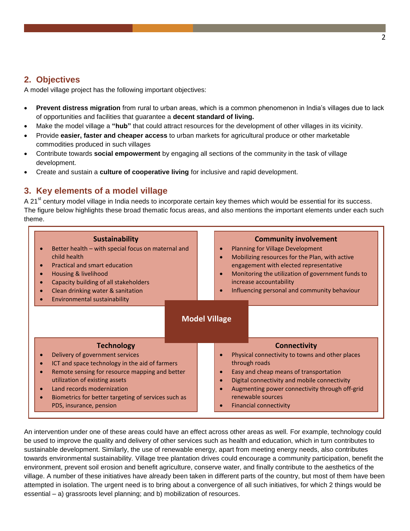## **2. Objectives**

A model village project has the following important objectives:

- **Prevent distress migration** from rural to urban areas, which is a common phenomenon in India's villages due to lack of opportunities and facilities that guarantee a **decent standard of living.**
- Make the model village a **"hub"** that could attract resources for the development of other villages in its vicinity.
- Provide **easier, faster and cheaper access** to urban markets for agricultural produce or other marketable commodities produced in such villages
- Contribute towards **social empowerment** by engaging all sections of the community in the task of village development.
- Create and sustain a **culture of cooperative living** for inclusive and rapid development.

# **3. Key elements of a model village**

A 21<sup>st</sup> century model village in India needs to incorporate certain key themes which would be essential for its success. The figure below highlights these broad thematic focus areas, and also mentions the important elements under each such theme.

| <b>Sustainability</b><br>Better health - with special focus on maternal and<br>child health<br><b>Practical and smart education</b><br>$\bullet$<br>Housing & livelihood<br>Capacity building of all stakeholders<br>Clean drinking water & sanitation<br>Environmental sustainability                                  | <b>Community involvement</b><br><b>Planning for Village Development</b><br>$\bullet$<br>Mobilizing resources for the Plan, with active<br>$\bullet$<br>engagement with elected representative<br>Monitoring the utilization of government funds to<br>$\bullet$<br>increase accountability<br>Influencing personal and community behaviour<br>$\bullet$            |  |
|-------------------------------------------------------------------------------------------------------------------------------------------------------------------------------------------------------------------------------------------------------------------------------------------------------------------------|--------------------------------------------------------------------------------------------------------------------------------------------------------------------------------------------------------------------------------------------------------------------------------------------------------------------------------------------------------------------|--|
| <b>Technology</b><br>Delivery of government services<br>ICT and space technology in the aid of farmers<br>Remote sensing for resource mapping and better<br>utilization of existing assets<br>Land records modernization<br>$\bullet$<br>Biometrics for better targeting of services such as<br>PDS, insurance, pension | <b>Model Village</b><br><b>Connectivity</b><br>Physical connectivity to towns and other places<br>Ō<br>through roads<br>Easy and cheap means of transportation<br>$\bullet$<br>Digital connectivity and mobile connectivity<br>$\bullet$<br>Augmenting power connectivity through off-grid<br>٠<br>renewable sources<br><b>Financial connectivity</b><br>$\bullet$ |  |

An intervention under one of these areas could have an effect across other areas as well. For example, technology could be used to improve the quality and delivery of other services such as health and education, which in turn contributes to sustainable development. Similarly, the use of renewable energy, apart from meeting energy needs, also contributes towards environmental sustainability. Village tree plantation drives could encourage a community participation, benefit the environment, prevent soil erosion and benefit agriculture, conserve water, and finally contribute to the aesthetics of the village. A number of these initiatives have already been taken in different parts of the country, but most of them have been attempted in isolation. The urgent need is to bring about a convergence of all such initiatives, for which 2 things would be essential – a) grassroots level planning; and b) mobilization of resources.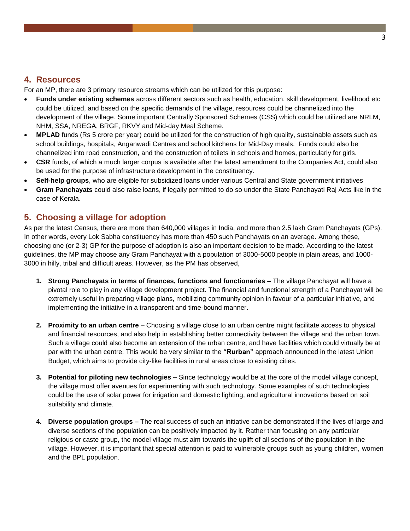## **4. Resources**

For an MP, there are 3 primary resource streams which can be utilized for this purpose:

- **Funds under existing schemes** across different sectors such as health, education, skill development, livelihood etc could be utilized, and based on the specific demands of the village, resources could be channelized into the development of the village. Some important Centrally Sponsored Schemes (CSS) which could be utilized are NRLM, NHM, SSA, NREGA, BRGF, RKVY and Mid-day Meal Scheme.
- **MPLAD** funds (Rs 5 crore per year) could be utilized for the construction of high quality, sustainable assets such as school buildings, hospitals, Anganwadi Centres and school kitchens for Mid-Day meals. Funds could also be channelized into road construction, and the construction of toilets in schools and homes, particularly for girls.
- **CSR** funds, of which a much larger corpus is available after the latest amendment to the Companies Act, could also be used for the purpose of infrastructure development in the constituency.
- **Self-help groups**, who are eligible for subsidized loans under various Central and State government initiatives
- **Gram Panchayats** could also raise loans, if legally permitted to do so under the State Panchayati Raj Acts like in the case of Kerala.

## **5. Choosing a village for adoption**

As per the latest Census, there are more than 640,000 villages in India, and more than 2.5 lakh Gram Panchayats (GPs). In other words, every Lok Sabha constituency has more than 450 such Panchayats on an average. Among these, choosing one (or 2-3) GP for the purpose of adoption is also an important decision to be made. According to the latest guidelines, the MP may choose any Gram Panchayat with a population of 3000-5000 people in plain areas, and 1000- 3000 in hilly, tribal and difficult areas. However, as the PM has observed,

- **1. Strong Panchayats in terms of finances, functions and functionaries –** The village Panchayat will have a pivotal role to play in any village development project. The financial and functional strength of a Panchayat will be extremely useful in preparing village plans, mobilizing community opinion in favour of a particular initiative, and implementing the initiative in a transparent and time-bound manner.
- **2. Proximity to an urban centre** Choosing a village close to an urban centre might facilitate access to physical and financial resources, and also help in establishing better connectivity between the village and the urban town. Such a village could also become an extension of the urban centre, and have facilities which could virtually be at par with the urban centre. This would be very similar to the **"Rurban"** approach announced in the latest Union Budget, which aims to provide city-like facilities in rural areas close to existing cities.
- **3. Potential for piloting new technologies –** Since technology would be at the core of the model village concept, the village must offer avenues for experimenting with such technology. Some examples of such technologies could be the use of solar power for irrigation and domestic lighting, and agricultural innovations based on soil suitability and climate.
- **4. Diverse population groups –** The real success of such an initiative can be demonstrated if the lives of large and diverse sections of the population can be positively impacted by it. Rather than focusing on any particular religious or caste group, the model village must aim towards the uplift of all sections of the population in the village. However, it is important that special attention is paid to vulnerable groups such as young children, women and the BPL population.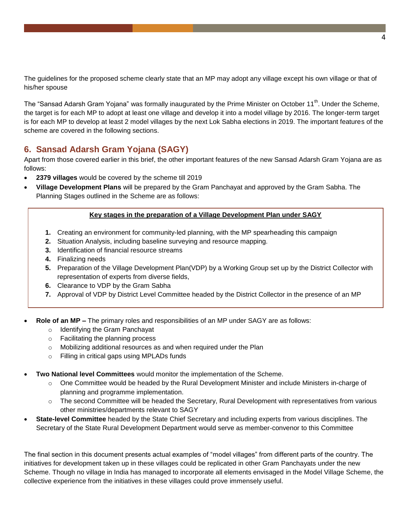The guidelines for the proposed scheme clearly state that an MP may adopt any village except his own village or that of his/her spouse

The "Sansad Adarsh Gram Yojana" was formally inaugurated by the Prime Minister on October 11<sup>th</sup>. Under the Scheme, the target is for each MP to adopt at least one village and develop it into a model village by 2016. The longer-term target is for each MP to develop at least 2 model villages by the next Lok Sabha elections in 2019. The important features of the scheme are covered in the following sections.

# **6. Sansad Adarsh Gram Yojana (SAGY)**

Apart from those covered earlier in this brief, the other important features of the new Sansad Adarsh Gram Yojana are as follows:

- **2379 villages** would be covered by the scheme till 2019
- **Village Development Plans** will be prepared by the Gram Panchayat and approved by the Gram Sabha. The Planning Stages outlined in the Scheme are as follows:

## **Key stages in the preparation of a Village Development Plan under SAGY**

- **1.** Creating an environment for community-led planning, with the MP spearheading this campaign
- **2.** Situation Analysis, including baseline surveying and resource mapping.
- **3.** Identification of financial resource streams
- **4.** Finalizing needs
- **5.** Preparation of the Village Development Plan(VDP) by a Working Group set up by the District Collector with representation of experts from diverse fields,
- **6.** Clearance to VDP by the Gram Sabha
- **7.** Approval of VDP by District Level Committee headed by the District Collector in the presence of an MP
- **Role of an MP –** The primary roles and responsibilities of an MP under SAGY are as follows:
	- o Identifying the Gram Panchayat
	- o Facilitating the planning process
	- o Mobilizing additional resources as and when required under the Plan
	- o Filling in critical gaps using MPLADs funds
- **Two National level Committees** would monitor the implementation of the Scheme.
	- $\circ$  One Committee would be headed by the Rural Development Minister and include Ministers in-charge of planning and programme implementation.
	- $\circ$  The second Committee will be headed the Secretary, Rural Development with representatives from various other ministries/departments relevant to SAGY
- **State-level Committee** headed by the State Chief Secretary and including experts from various disciplines. The Secretary of the State Rural Development Department would serve as member-convenor to this Committee

The final section in this document presents actual examples of "model villages" from different parts of the country. The initiatives for development taken up in these villages could be replicated in other Gram Panchayats under the new Scheme. Though no village in India has managed to incorporate all elements envisaged in the Model Village Scheme, the collective experience from the initiatives in these villages could prove immensely useful.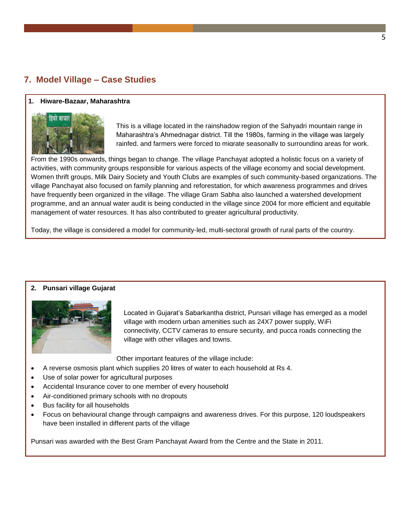# **7. Model Village – Case Studies**

### **1. Hiware-Bazaar, Maharashtra**



This is a village located in the rainshadow region of the Sahyadri mountain range in Maharashtra's Ahmednagar district. Till the 1980s, farming in the village was largely rainfed, and farmers were forced to migrate seasonally to surrounding areas for work.

From the 1990s onwards, things began to change. The village Panchayat adopted a holistic focus on a variety of activities, with community groups responsible for various aspects of the village economy and social development. Women thrift groups, Milk Dairy Society and Youth Clubs are examples of such community-based organizations. The village Panchayat also focused on family planning and reforestation, for which awareness programmes and drives have frequently been organized in the village. The village Gram Sabha also launched a watershed development programme, and an annual water audit is being conducted in the village since 2004 for more efficient and equitable management of water resources. It has also contributed to greater agricultural productivity.

Today, the village is considered a model for community-led, multi-sectoral growth of rural parts of the country.

#### **2. Punsari village Gujarat**



Located in Gujarat's Sabarkantha district, Punsari village has emerged as a model village with modern urban amenities such as 24X7 power supply, WiFi connectivity, CCTV cameras to ensure security, and pucca roads connecting the village with other villages and towns.

Other important features of the village include:

- A reverse osmosis plant which supplies 20 litres of water to each household at Rs 4.
- Use of solar power for agricultural purposes
- Accidental Insurance cover to one member of every household
- Air-conditioned primary schools with no dropouts
- Bus facility for all households
- Focus on behavioural change through campaigns and awareness drives. For this purpose, 120 loudspeakers have been installed in different parts of the village

Punsari was awarded with the Best Gram Panchayat Award from the Centre and the State in 2011.